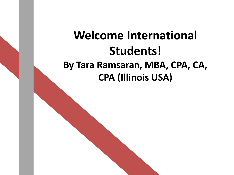#### **Welcome International Students! By Tara Ramsaran, MBA, CPA, CA, CPA (Illinois USA)**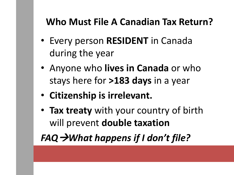#### **Who Must File A Canadian Tax Return?**

- Every person **RESIDENT** in Canada during the year
- Anyone who **lives in Canada** or who stays here for **>183 days** in a year
- **Citizenship is irrelevant.**
- **Tax treaty** with your country of birth will prevent **double taxation**

*FAQWhat happens if I don't file?*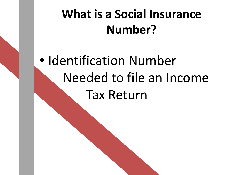#### **What is a Social Insurance Number?**

# • Identification Number Needed to file an Income Tax Return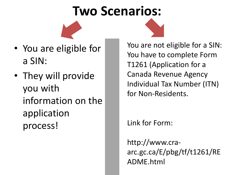### **Two Scenarios:**

- You are eligible for a SIN:
- They will provide you with information on the application process!

You are not eligible for a SIN: You have to complete Form T1261 (Application for a Canada Revenue Agency Individual Tax Number (ITN) for Non-Residents.

Link for Form:

http://www.craarc.gc.ca/E/pbg/tf/t1261/RE ADME.html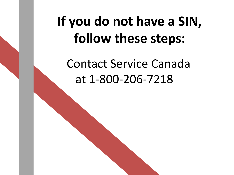## **If you do not have a SIN, follow these steps:**

Contact Service Canada at 1-800-206-7218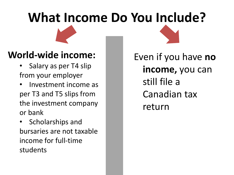# **What Income Do You Include?**

#### **World-wide income:**

- Salary as per T4 slip from your employer
- Investment income as per T3 and T5 slips from the investment company or bank
- Scholarships and bursaries are not taxable income for full-time students

Even if you have **no income,** you can still file a Canadian tax return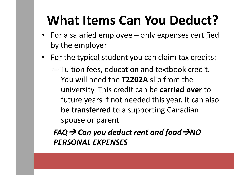## **What Items Can You Deduct?**

- For a salaried employee only expenses certified by the employer
- For the typical student you can claim tax credits:
	- Tuition fees, education and textbook credit. You will need the **T2202A** slip from the university. This credit can be **carried over** to future years if not needed this year. It can also be **transferred** to a supporting Canadian spouse or parent

*FAQ*  $\rightarrow$  Can you deduct rent and food  $\rightarrow$ NO *PERSONAL EXPENSES*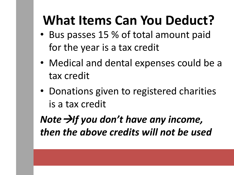## **What Items Can You Deduct?**

- Bus passes 15 % of total amount paid for the year is a tax credit
- Medical and dental expenses could be a tax credit
- Donations given to registered charities is a tax credit

*Note*  $\rightarrow$  *If* you don't have any income, *then the above credits will not be used*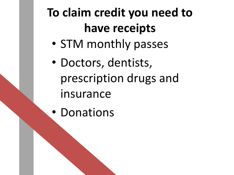## **To claim credit you need to have receipts**

- STM monthly passes
- Doctors, dentists, prescription drugs and insurance
- Donations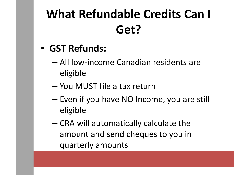## **What Refundable Credits Can I Get?**

- **GST Refunds:**
	- All low-income Canadian residents are eligible
	- You MUST file a tax return
	- Even if you have NO Income, you are still eligible
	- CRA will automatically calculate the amount and send cheques to you in quarterly amounts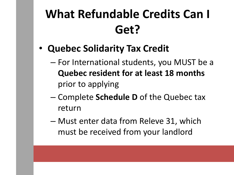### **What Refundable Credits Can I Get?**

- **Quebec Solidarity Tax Credit**
	- For International students, you MUST be a **Quebec resident for at least 18 months**  prior to applying
	- Complete **Schedule D** of the Quebec tax return
	- Must enter data from Releve 31, which must be received from your landlord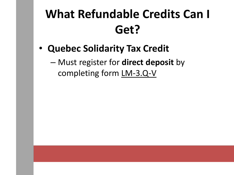#### **What Refundable Credits Can I Get?**

- **Quebec Solidarity Tax Credit**
	- Must register for **direct deposit** by completing form LM-3.Q-V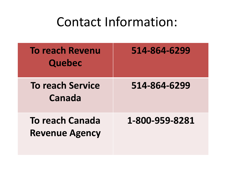#### Contact Information:

| <b>To reach Revenu</b><br><b>Quebec</b>         | 514-864-6299   |
|-------------------------------------------------|----------------|
| <b>To reach Service</b><br>Canada               | 514-864-6299   |
| <b>To reach Canada</b><br><b>Revenue Agency</b> | 1-800-959-8281 |